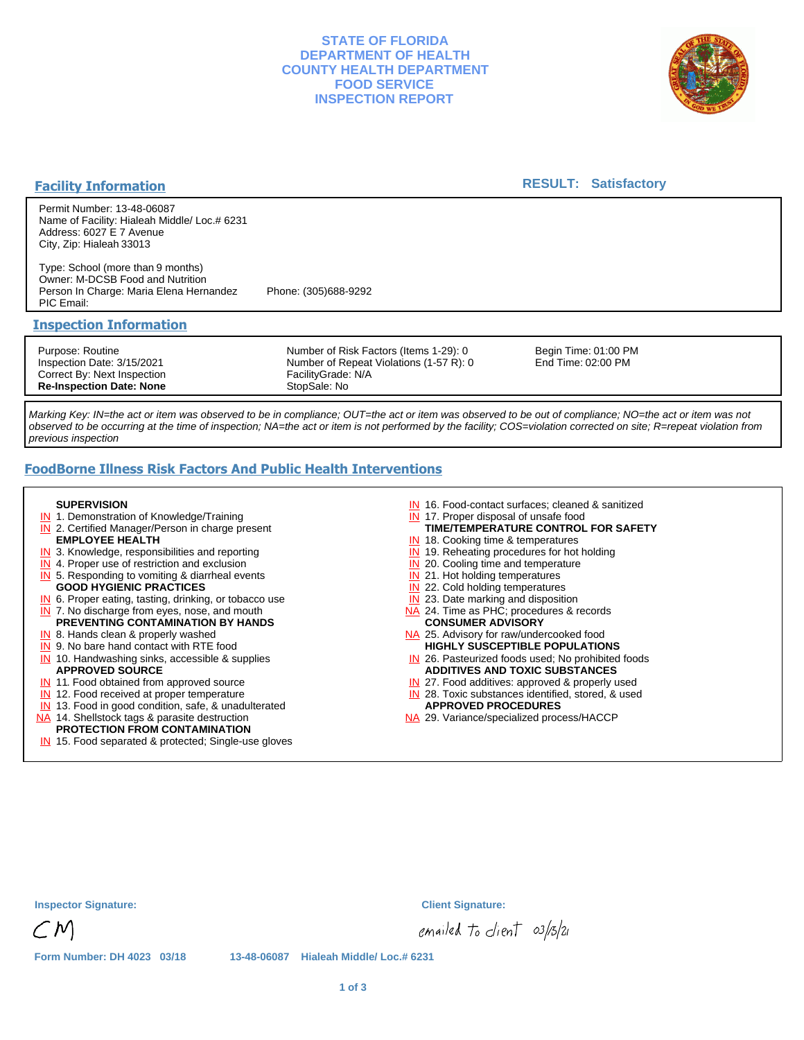## **STATE OF FLORIDA DEPARTMENT OF HEALTH COUNTY HEALTH DEPARTMENT FOOD SERVICE INSPECTION REPORT**



#### **Facility Information**

#### **RESULT: Satisfactory**

Permit Number: 13-48-06087 Name of Facility: Hialeah Middle/ Loc.# 6231 Address: 6027 E 7 Avenue City, Zip: Hialeah 33013

Type: School (more than 9 months) Owner: M-DCSB Food and Nutrition Person In Charge: Maria Elena Hernandez Phone: (305)688-9292 PIC Email:

#### **Inspection Information**

Purpose: Routine Inspection Date: 3/15/2021 Correct By: Next Inspection **Re-Inspection Date: None**

Number of Risk Factors (Items 1-29): 0 Number of Repeat Violations (1-57 R): 0 FacilityGrade: N/A StopSale: No

Begin Time: 01:00 PM End Time: 02:00 PM

Marking Key: IN=the act or item was observed to be in compliance; OUT=the act or item was observed to be out of compliance; NO=the act or item was not observed to be occurring at the time of inspection; NA=the act or item is not performed by the facility; COS=violation corrected on site; R=repeat violation from previous inspection

# **FoodBorne Illness Risk Factors And Public Health Interventions**

#### **SUPERVISION**

- **IN** 1. Demonstration of Knowledge/Training
- **IN** 2. Certified Manager/Person in charge present **EMPLOYEE HEALTH**
- **IN** 3. Knowledge, responsibilities and reporting
- **IN** 4. Proper use of restriction and exclusion
- **IN** 5. Responding to vomiting & diarrheal events
- **GOOD HYGIENIC PRACTICES**
- **IN** 6. Proper eating, tasting, drinking, or tobacco use **IN** 7. No discharge from eyes, nose, and mouth
- **PREVENTING CONTAMINATION BY HANDS**
- IN 8. Hands clean & properly washed **IN** 9. No bare hand contact with RTE food
- IN 10. Handwashing sinks, accessible & supplies **APPROVED SOURCE**
- **IN** 11. Food obtained from approved source
- **IN** 12. Food received at proper temperature
- IN 13. Food in good condition, safe, & unadulterated
- NA 14. Shellstock tags & parasite destruction

# **PROTECTION FROM CONTAMINATION**

IN 15. Food separated & protected; Single-use gloves

- IN 16. Food-contact surfaces; cleaned & sanitized
- IN 17. Proper disposal of unsafe food
- **TIME/TEMPERATURE CONTROL FOR SAFETY**
- IN 18. Cooking time & temperatures
- **IN** 19. Reheating procedures for hot holding **IN** 20. Cooling time and temperature
- IN 21. Hot holding temperatures
- **IN** 22. Cold holding temperatures
- **IN** 23. Date marking and disposition
- NA 24. Time as PHC; procedures & records **CONSUMER ADVISORY**
- NA 25. Advisory for raw/undercooked food **HIGHLY SUSCEPTIBLE POPULATIONS**
- IN 26. Pasteurized foods used; No prohibited foods **ADDITIVES AND TOXIC SUBSTANCES**
- IN 27. Food additives: approved & properly used
- IN 28. Toxic substances identified, stored, & used **APPROVED PROCEDURES**
- NA 29. Variance/specialized process/HACCP

| <b>Inspector Signature:</b> |  |  |
|-----------------------------|--|--|
|                             |  |  |

**Inspector Signature: Client Signature:**

emailed to client 03/13/21

**Form Number: DH 4023 03/18 13-48-06087 Hialeah Middle/ Loc.# 6231**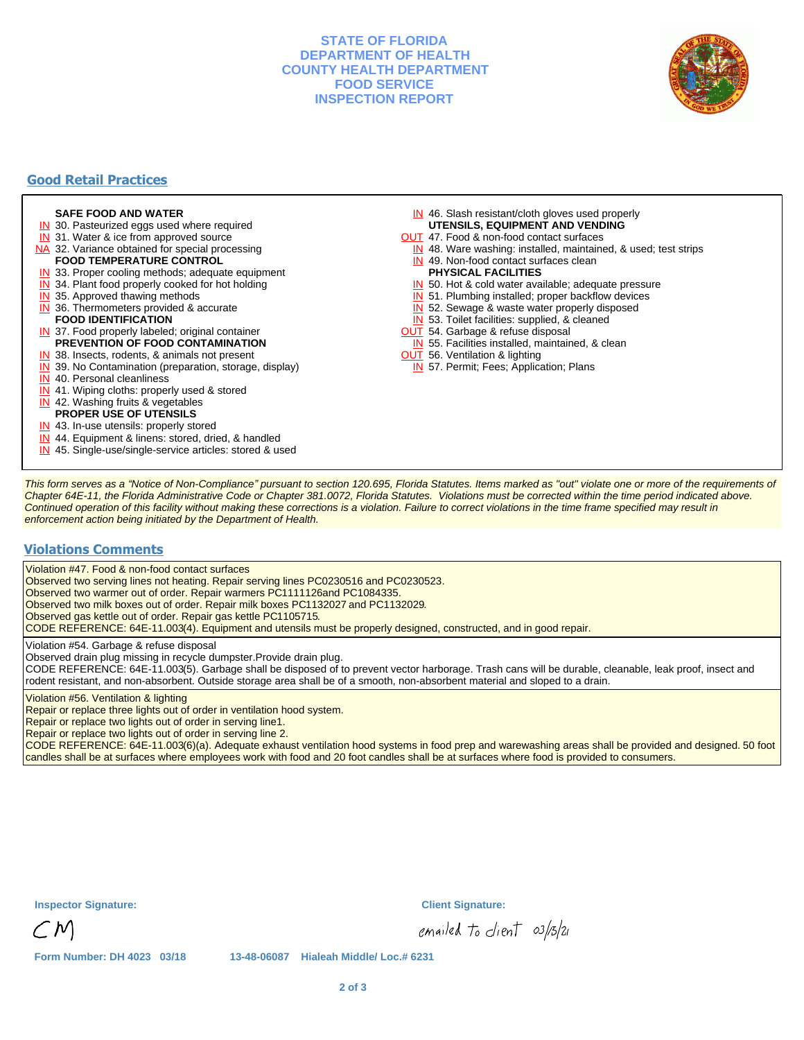## **STATE OF FLORIDA DEPARTMENT OF HEALTH COUNTY HEALTH DEPARTMENT FOOD SERVICE INSPECTION REPORT**



# **Good Retail Practices**

#### **SAFE FOOD AND WATER**

- **IN** 30. Pasteurized eggs used where required
- IN 31. Water & ice from approved source
- NA 32. Variance obtained for special processing
- **FOOD TEMPERATURE CONTROL**
- **IN** 33. Proper cooling methods; adequate equipment
- **IN** 34. Plant food properly cooked for hot holding
- **IN** 35. Approved thawing methods
- IN 36. Thermometers provided & accurate **FOOD IDENTIFICATION**
- IN 37. Food properly labeled; original container **PREVENTION OF FOOD CONTAMINATION**
- IN 38. Insects, rodents, & animals not present
- **IN** 39. No Contamination (preparation, storage, display)
- IN 40. Personal cleanliness
- IN 41. Wiping cloths: properly used & stored
- IN 42. Washing fruits & vegetables
- **PROPER USE OF UTENSILS**
- IN 43. In-use utensils: properly stored
- IN 44. Equipment & linens: stored, dried, & handled
- IN 45. Single-use/single-service articles: stored & used
- IN 46. Slash resistant/cloth gloves used properly **UTENSILS, EQUIPMENT AND VENDING**
- OUT 47. Food & non-food contact surfaces
- IN 48. Ware washing: installed, maintained, & used; test strips
- IN 49. Non-food contact surfaces clean
- **PHYSICAL FACILITIES**
- IN 50. Hot & cold water available; adequate pressure
- IN 51. Plumbing installed; proper backflow devices
- IN 52. Sewage & waste water properly disposed
- IN 53. Toilet facilities: supplied, & cleaned
- **OUT** 54. Garbage & refuse disposal
- IN 55. Facilities installed, maintained, & clean
- **OUT** 56. Ventilation & lighting
- IN 57. Permit; Fees; Application; Plans

This form serves as a "Notice of Non-Compliance" pursuant to section 120.695, Florida Statutes. Items marked as "out" violate one or more of the requirements of Chapter 64E-11, the Florida Administrative Code or Chapter 381.0072, Florida Statutes. Violations must be corrected within the time period indicated above. Continued operation of this facility without making these corrections is a violation. Failure to correct violations in the time frame specified may result in enforcement action being initiated by the Department of Health.

#### **Violations Comments**

Violation #47. Food & non-food contact surfaces

Observed two serving lines not heating. Repair serving lines PC0230516 and PC0230523.

Observed two warmer out of order. Repair warmers PC1111126 and PC1084335.

Observed two milk boxes out of order. Repair milk boxes PC1132027 and PC1132029.

Observed gas kettle out of order. Repair gas kettle PC1105715.

CODE REFERENCE: 64E-11.003(4). Equipment and utensils must be properly designed, constructed, and in good repair.

Violation #54. Garbage & refuse disposal

Observed drain plug missing in recycle dumpster.Provide drain plug.

CODE REFERENCE: 64E-11.003(5). Garbage shall be disposed of to prevent vector harborage. Trash cans will be durable, cleanable, leak proof, insect and rodent resistant, and non-absorbent. Outside storage area shall be of a smooth, non-absorbent material and sloped to a drain.

Violation #56. Ventilation & lighting

Repair or replace three lights out of order in ventilation hood system.

Repair or replace two lights out of order in serving line1.

Repair or replace two lights out of order in serving line 2.

CODE REFERENCE: 64E-11.003(6)(a). Adequate exhaust ventilation hood systems in food prep and warewashing areas shall be provided and designed. 50 foot candles shall be at surfaces where employees work with food and 20 foot candles shall be at surfaces where food is provided to consumers.

**Inspector Signature: Client Signature:**

emailed to client 03/13/21

**Form Number: DH 4023 03/18 13-48-06087 Hialeah Middle/ Loc.# 6231**